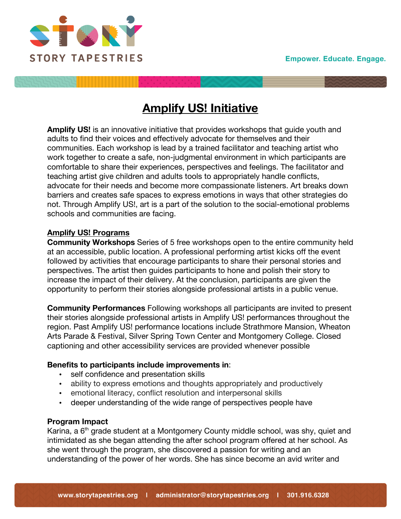

# **Amplify US! Initiative**

**Amplify US!** is an innovative initiative that provides workshops that guide youth and adults to find their voices and effectively advocate for themselves and their communities. Each workshop is lead by a trained facilitator and teaching artist who work together to create a safe, non-judgmental environment in which participants are comfortable to share their experiences, perspectives and feelings. The facilitator and teaching artist give children and adults tools to appropriately handle conflicts, advocate for their needs and become more compassionate listeners. Art breaks down barriers and creates safe spaces to express emotions in ways that other strategies do not. Through Amplify US!, art is a part of the solution to the social-emotional problems schools and communities are facing.

## **Amplify US! Programs**

**Community Workshops** Series of 5 free workshops open to the entire community held at an accessible, public location. A professional performing artist kicks off the event followed by activities that encourage participants to share their personal stories and perspectives. The artist then guides participants to hone and polish their story to increase the impact of their delivery. At the conclusion, participants are given the opportunity to perform their stories alongside professional artists in a public venue.

**Community Performances** Following workshops all participants are invited to present their stories alongside professional artists in Amplify US! performances throughout the region. Past Amplify US! performance locations include Strathmore Mansion, Wheaton Arts Parade & Festival, Silver Spring Town Center and Montgomery College. Closed captioning and other accessibility services are provided whenever possible

## **Benefits to participants include improvements in**:

- self confidence and presentation skills
- ability to express emotions and thoughts appropriately and productively
- emotional literacy, conflict resolution and interpersonal skills
- deeper understanding of the wide range of perspectives people have

#### **Program Impact**

Karina, a 6<sup>th</sup> grade student at a Montgomery County middle school, was shy, quiet and intimidated as she began attending the after school program offered at her school. As she went through the program, she discovered a passion for writing and an understanding of the power of her words. She has since become an avid writer and